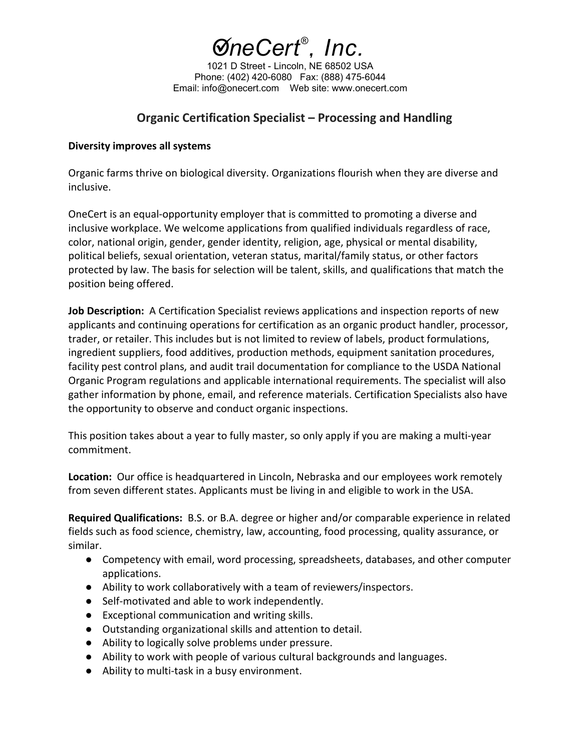

1021 D Street - Lincoln, NE 68502 USA Phone: (402) 420-6080 Fax: (888) 475-6044 Email: info@onecert.com Web site: www.onecert.com

## **Organic Certification Specialist – Processing and Handling**

## **Diversity improves all systems**

Organic farms thrive on biological diversity. Organizations flourish when they are diverse and inclusive.

OneCert is an equal-opportunity employer that is committed to promoting a diverse and inclusive workplace. We welcome applications from qualified individuals regardless of race, color, national origin, gender, gender identity, religion, age, physical or mental disability, political beliefs, sexual orientation, veteran status, marital/family status, or other factors protected by law. The basis for selection will be talent, skills, and qualifications that match the position being offered.

**Job Description:** A Certification Specialist reviews applications and inspection reports of new applicants and continuing operations for certification as an organic product handler, processor, trader, or retailer. This includes but is not limited to review of labels, product formulations, ingredient suppliers, food additives, production methods, equipment sanitation procedures, facility pest control plans, and audit trail documentation for compliance to the USDA National Organic Program regulations and applicable international requirements. The specialist will also gather information by phone, email, and reference materials. Certification Specialists also have the opportunity to observe and conduct organic inspections.

This position takes about a year to fully master, so only apply if you are making a multi-year commitment.

**Location:** Our office is headquartered in Lincoln, Nebraska and our employees work remotely from seven different states. Applicants must be living in and eligible to work in the USA.

**Required Qualifications:** B.S. or B.A. degree or higher and/or comparable experience in related fields such as food science, chemistry, law, accounting, food processing, quality assurance, or similar.

- Competency with email, word processing, spreadsheets, databases, and other computer applications.
- Ability to work collaboratively with a team of reviewers/inspectors.
- Self-motivated and able to work independently.
- Exceptional communication and writing skills.
- Outstanding organizational skills and attention to detail.
- Ability to logically solve problems under pressure.
- Ability to work with people of various cultural backgrounds and languages.
- Ability to multi-task in a busy environment.